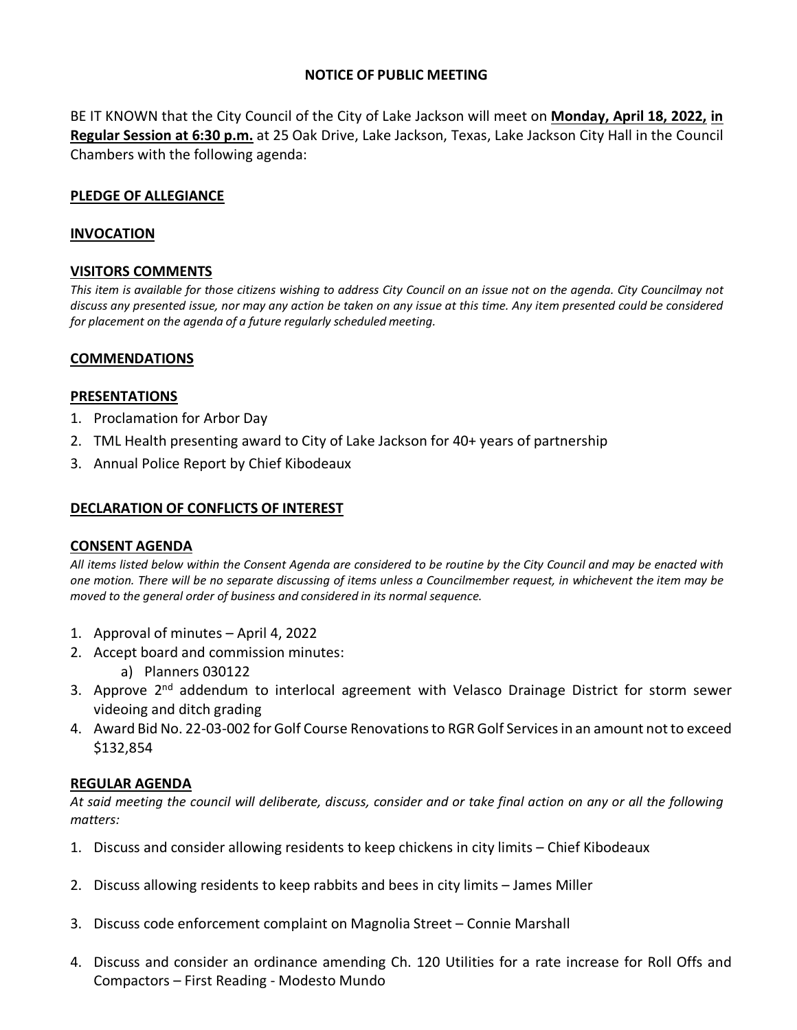# **NOTICE OF PUBLIC MEETING**

BE IT KNOWN that the City Council of the City of Lake Jackson will meet on **Monday, April 18, 2022, in Regular Session at 6:30 p.m.** at 25 Oak Drive, Lake Jackson, Texas, Lake Jackson City Hall in the Council Chambers with the following agenda:

# **PLEDGE OF ALLEGIANCE**

### **INVOCATION**

### **VISITORS COMMENTS**

*This item is available for those citizens wishing to address City Council on an issue not on the agenda. City Councilmay not discuss any presented issue, nor may any action be taken on any issue at this time. Any item presented could be considered for placement on the agenda of a future regularly scheduled meeting.*

### **COMMENDATIONS**

### **PRESENTATIONS**

- 1. Proclamation for Arbor Day
- 2. TML Health presenting award to City of Lake Jackson for 40+ years of partnership
- 3. Annual Police Report by Chief Kibodeaux

### **DECLARATION OF CONFLICTS OF INTEREST**

### **CONSENT AGENDA**

*All items listed below within the Consent Agenda are considered to be routine by the City Council and may be enacted with one motion. There will be no separate discussing of items unless a Councilmember request, in whichevent the item may be moved to the general order of business and considered in its normal sequence.*

- 1. Approval of minutes April 4, 2022
- 2. Accept board and commission minutes:
	- a) Planners 030122
- 3. Approve 2<sup>nd</sup> addendum to interlocal agreement with Velasco Drainage District for storm sewer videoing and ditch grading
- 4. Award Bid No. 22-03-002 for Golf Course Renovations to RGR Golf Services in an amount not to exceed \$132,854

### **REGULAR AGENDA**

*At said meeting the council will deliberate, discuss, consider and or take final action on any or all the following matters:*

- 1. Discuss and consider allowing residents to keep chickens in city limits Chief Kibodeaux
- 2. Discuss allowing residents to keep rabbits and bees in city limits James Miller
- 3. Discuss code enforcement complaint on Magnolia Street Connie Marshall
- 4. Discuss and consider an ordinance amending Ch. 120 Utilities for a rate increase for Roll Offs and Compactors – First Reading - Modesto Mundo